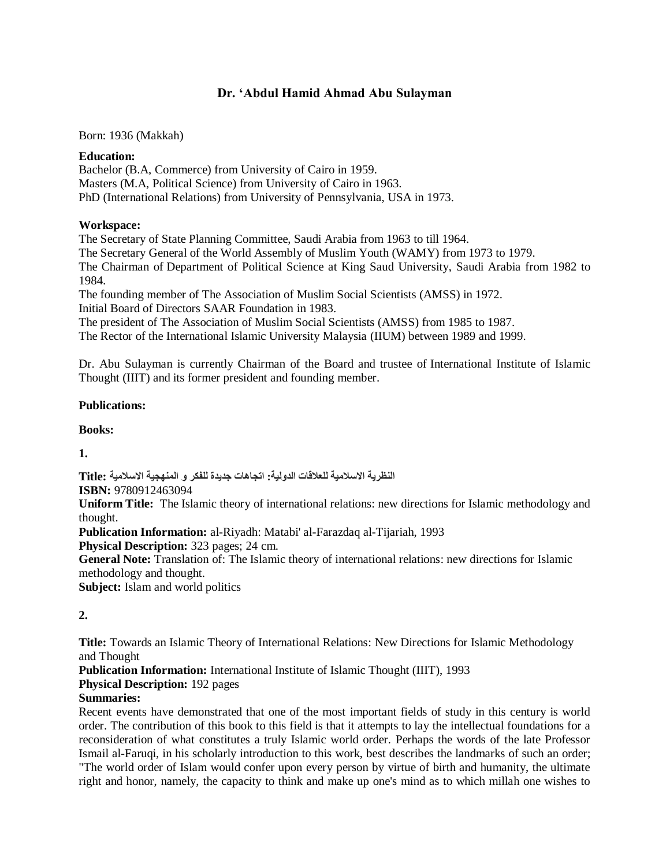# **Dr. 'Abdul Hamid Ahmad Abu Sulayman**

### Born: 1936 (Makkah)

### **Education:**

Bachelor (B.A, Commerce) from University of Cairo in 1959. Masters (M.A, Political Science) from University of Cairo in 1963. PhD (International Relations) from University of Pennsylvania, USA in 1973.

## **Workspace:**

The Secretary of State Planning Committee, Saudi Arabia from 1963 to till 1964. The Secretary General of the World Assembly of Muslim Youth (WAMY) from 1973 to 1979. The Chairman of Department of Political Science at King Saud University, Saudi Arabia from 1982 to 1984.

The founding member of The Association of Muslim Social Scientists (AMSS) in 1972. Initial Board of Directors SAAR Foundation in 1983.

The president of The Association of Muslim Social Scientists (AMSS) from 1985 to 1987.

The Rector of the [International Islamic University Malaysia](https://en.wikipedia.org/wiki/International_Islamic_University_Malaysia) (IIUM) between 1989 and 1999.

Dr. Abu Sulayman is currently Chairman of the Board and trustee of International Institute of Islamic Thought (IIIT) and its former president and founding member.

## **Publications:**

## **Books:**

**1.**

**النظرية االسالمية للعالقات الدولية: اتجاهات جديدة للفكر و المنهجية االسالمية :Title**

**ISBN:** 9780912463094

**Uniform Title:** The Islamic theory of international relations: new directions for Islamic methodology and thought.

**Publication Information:** al-Riyadh: Matabi' al-Farazdaq al-Tijariah, 1993

**Physical Description:** 323 pages; 24 cm.

**General Note:** Translation of: The Islamic theory of international relations: new directions for Islamic methodology and thought.

**Subject:** [Islam and world politics](https://iium.ent.sirsidynix.net.au/client/en_GB/iiumlib/search/results.displaypanel.displaycell.detail.mainpanel.fielddisplay.linktonewsearch?qu=Islam+and+world+politics&dt=list)

## **2.**

**Title:** Towards an Islamic Theory of International Relations: New Directions for Islamic Methodology and Thought

**Publication Information:** International Institute of Islamic Thought (IIIT), 1993

## **Physical Description:** 192 pages

## **Summaries:**

Recent events have demonstrated that one of the most important fields of study in this century is world order. The contribution of this book to this field is that it attempts to lay the intellectual foundations for a reconsideration of what constitutes a truly Islamic world order. Perhaps the words of the late Professor Ismail al-Faruqi, in his scholarly introduction to this work, best describes the landmarks of such an order; "The world order of Islam would confer upon every person by virtue of birth and humanity, the ultimate right and honor, namely, the capacity to think and make up one's mind as to which millah one wishes to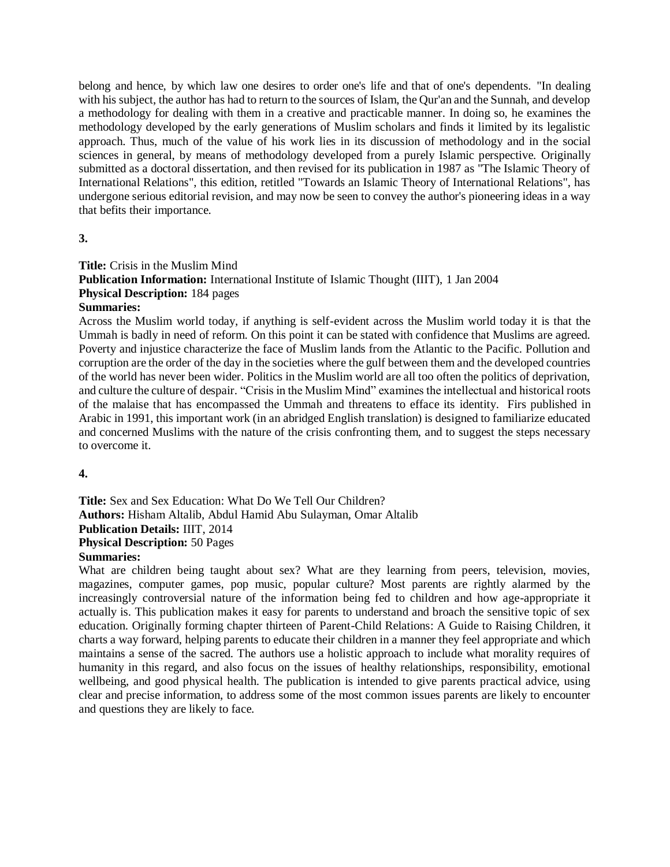belong and hence, by which law one desires to order one's life and that of one's dependents. "In dealing with his subject, the author has had to return to the sources of Islam, the Qur'an and the Sunnah, and develop a methodology for dealing with them in a creative and practicable manner. In doing so, he examines the methodology developed by the early generations of Muslim scholars and finds it limited by its legalistic approach. Thus, much of the value of his work lies in its discussion of methodology and in the social sciences in general, by means of methodology developed from a purely Islamic perspective. Originally submitted as a doctoral dissertation, and then revised for its publication in 1987 as "The Islamic Theory of International Relations", this edition, retitled "Towards an Islamic Theory of International Relations", has undergone serious editorial revision, and may now be seen to convey the author's pioneering ideas in a way that befits their importance.

### **3.**

## **Title:** Crisis in the Muslim Mind

**Publication Information:** International Institute of Islamic Thought (IIIT), 1 Jan 2004

# **Physical Description:** 184 pages

## **Summaries:**

Across the Muslim world today, if anything is self-evident across the Muslim world today it is that the Ummah is badly in need of reform. On this point it can be stated with confidence that Muslims are agreed. Poverty and injustice characterize the face of Muslim lands from the Atlantic to the Pacific. Pollution and corruption are the order of the day in the societies where the gulf between them and the developed countries of the world has never been wider. Politics in the Muslim world are all too often the politics of deprivation, and culture the culture of despair. "Crisis in the Muslim Mind" examines the intellectual and historical roots of the malaise that has encompassed the Ummah and threatens to efface its identity. Firs published in Arabic in 1991, this important work (in an abridged English translation) is designed to familiarize educated and concerned Muslims with the nature of the crisis confronting them, and to suggest the steps necessary to overcome it.

## **4.**

## **Title:** Sex and Sex Education: What Do We Tell Our Children? **Authors:** [Hisham Altalib,](https://www.google.com.my/search?tbo=p&tbm=bks&q=inauthor:%22Hisham+Altalib%22) Abdul [Hamid Abu](https://www.google.com.my/search?tbo=p&tbm=bks&q=inauthor:%22AbdulHamid+AbuSulayman%22) Sulayman, [Omar Altalib](https://www.google.com.my/search?tbo=p&tbm=bks&q=inauthor:%22Omar+Altalib%22) **Publication Details:** IIIT, 2014 **[Physical](https://books.google.com.my/books?id=O2zHDgAAQBAJ&dq=Abdul+Hamid+Ahmad+Abu+Sulayman&lr=&sitesec=reviews) Description:** 50 Pages **Summaries:**

What are children being taught about sex? What are they learning from peers, television, movies, magazines, computer games, pop music, popular culture? Most parents are rightly alarmed by the increasingly controversial nature of the information being fed to children and how age-appropriate it actually is. This publication makes it easy for parents to understand and broach the sensitive topic of sex education. Originally forming chapter thirteen of Parent-Child Relations: A Guide to Raising Children, it charts a way forward, helping parents to educate their children in a manner they feel appropriate and which maintains a sense of the sacred. The authors use a holistic approach to include what morality requires of humanity in this regard, and also focus on the issues of healthy relationships, responsibility, emotional wellbeing, and good physical health. The publication is intended to give parents practical advice, using clear and precise information, to address some of the most common issues parents are likely to encounter and questions they are likely to face.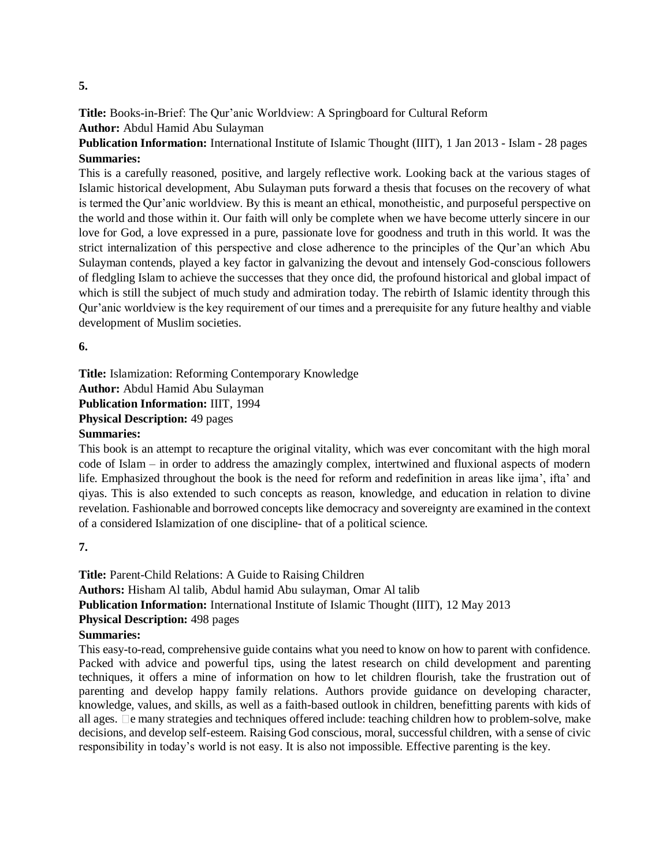### **5.**

**Title:** Books-in-Brief: The Qur'anic Worldview: A Springboard for Cultural Reform

**Author:** Abdul [Hamid Abu](https://www.google.com.my/search?tbo=p&tbm=bks&q=inauthor:%22AbdulHamid+AbuSulayman%22) Sulayman

**Publication Information:** International Institute of Islamic Thought (IIIT), 1 Jan 2013 - [Islam](https://www.google.com.my/search?tbo=p&tbm=bks&q=subject:%22Islam%22&source=gbs_ge_summary_r&cad=0) - 28 pages **[Summaries:](https://books.google.com.my/books?id=2q8ZDAAAQBAJ&dq=Abdul+Hamid+Ahmad+Abu+Sulayman&lr=&sitesec=reviews)**

This is a carefully reasoned, positive, and largely reflective work. Looking back at the various stages of Islamic historical development, Abu Sulayman puts forward a thesis that focuses on the recovery of what is termed the Qur'anic worldview. By this is meant an ethical, monotheistic, and purposeful perspective on the world and those within it. Our faith will only be complete when we have become utterly sincere in our love for God, a love expressed in a pure, passionate love for goodness and truth in this world. It was the strict internalization of this perspective and close adherence to the principles of the Qur'an which Abu Sulayman contends, played a key factor in galvanizing the devout and intensely God-conscious followers of fledgling Islam to achieve the successes that they once did, the profound historical and global impact of which is still the subject of much study and admiration today. The rebirth of Islamic identity through this Qur'anic worldview is the key requirement of our times and a prerequisite for any future healthy and viable development of Muslim societies.

**6.** 

**Title:** Islamization: Reforming Contemporary Knowledge **Author:** Abdul [Hamid Abu](https://www.google.com.my/search?tbo=p&tbm=bks&q=inauthor:%22AbdulHamid+AbuSulayman%22) Sulayman **Publication Information:** IIIT, 1994 **Physical Description:** 49 pages **[Summaries:](https://books.google.com.my/books?id=0fxfCgAAQBAJ&dq=Abdul+Hamid+Ahmad+Abu+Sulayman&lr=&sitesec=reviews)**

This book is an attempt to recapture the original vitality, which was ever concomitant with the high moral code of Islam – in order to address the amazingly complex, intertwined and fluxional aspects of modern life. Emphasized throughout the book is the need for reform and redefinition in areas like ijma', ifta' and qiyas. This is also extended to such concepts as reason, knowledge, and education in relation to divine revelation. Fashionable and borrowed concepts like democracy and sovereignty are examined in the context of a considered Islamization of one discipline- that of a political science.

**7.** 

**Title:** Parent-Child Relations: A Guide to Raising Children **Authors:** [Hisham Al](https://www.google.com.my/search?tbo=p&tbm=bks&q=inauthor:%22Hisham+Altalib%22) talib, Abdul [hamid Abu](https://www.google.com.my/search?tbo=p&tbm=bks&q=inauthor:%22Abdulhamid+Abusulayman%22) sulayman, [Omar Al](https://www.google.com.my/search?tbo=p&tbm=bks&q=inauthor:%22Omar+Altalib%22) talib **Publication Information:** International Institute of Islamic Thought (IIIT), 12 May 2013 **Physical Description:** 498 pages **[Summaries:](https://books.google.com.my/books?id=-Hg7CgAAQBAJ&dq=Abdul+Hamid+Ahmad+Abu+Sulayman&lr=&sitesec=reviews)**

This easy-to-read, comprehensive guide contains what you need to know on how to parent with confidence. Packed with advice and powerful tips, using the latest research on child development and parenting techniques, it offers a mine of information on how to let children flourish, take the frustration out of parenting and develop happy family relations. Authors provide guidance on developing character, knowledge, values, and skills, as well as a faith-based outlook in children, benefitting parents with kids of all ages.  $\Box$ e many strategies and techniques offered include: teaching children how to problem-solve, make decisions, and develop self-esteem. Raising God conscious, moral, successful children, with a sense of civic responsibility in today's world is not easy. It is also not impossible. Effective parenting is the key.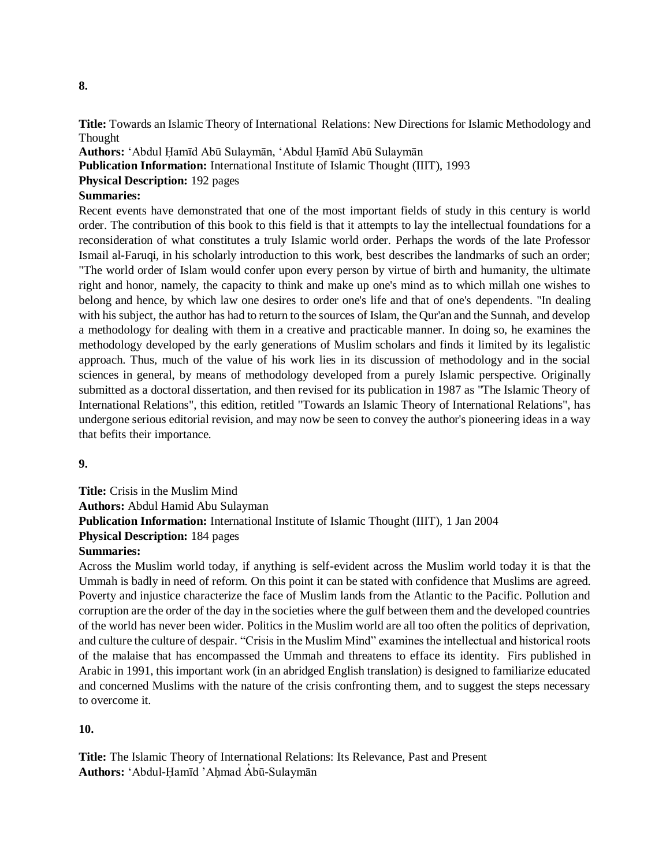**Title:** Towards an Islamic Theory of International Relations: New Directions for Islamic Methodology and Thought

**Authors:** ʻAbdul [Ḥamīd Abū](https://www.google.com.my/search?tbo=p&tbm=bks&q=inauthor:%22%CA%BBAbdul%E1%B8%A4am%C4%ABd+Ab%C5%ABSulaym%C4%81n%22) Sulaymān, ʻAbdul [Ḥamīd Abū Sulaymān](https://www.google.com.my/search?tbo=p&tbm=bks&q=inauthor:%22%CA%BBAbdul%E1%B8%A4am%C4%ABd+Ab%C5%AB+Sulaym%C4%81n%22)

**Publication Information:** International Institute of Islamic Thought (IIIT), 1993

**Physical Description:** 192 pages

## **[Summaries:](https://books.google.com.my/books?id=idIIj4XJQOkC&dq=Abdul+Hamid+Ahmad+Abu+Sulayman&lr=&sitesec=reviews)**

Recent events have demonstrated that one of the most important fields of study in this century is world order. The contribution of this book to this field is that it attempts to lay the intellectual foundations for a reconsideration of what constitutes a truly Islamic world order. Perhaps the words of the late Professor Ismail al-Faruqi, in his scholarly introduction to this work, best describes the landmarks of such an order; "The world order of Islam would confer upon every person by virtue of birth and humanity, the ultimate right and honor, namely, the capacity to think and make up one's mind as to which millah one wishes to belong and hence, by which law one desires to order one's life and that of one's dependents. "In dealing with his subject, the author has had to return to the sources of Islam, the Qur'an and the Sunnah, and develop a methodology for dealing with them in a creative and practicable manner. In doing so, he examines the methodology developed by the early generations of Muslim scholars and finds it limited by its legalistic approach. Thus, much of the value of his work lies in its discussion of methodology and in the social sciences in general, by means of methodology developed from a purely Islamic perspective. Originally submitted as a doctoral dissertation, and then revised for its publication in 1987 as "The Islamic Theory of International Relations", this edition, retitled "Towards an Islamic Theory of International Relations", has undergone serious editorial revision, and may now be seen to convey the author's pioneering ideas in a way that befits their importance.

**9.**

**Title:** Crisis in the Muslim Mind **Authors:** Abdul [Hamid Abu](https://www.google.com.my/search?tbo=p&tbm=bks&q=inauthor:%22AbdulHamid+AbuSulayman%22) Sulayman **Publication Information:** International Institute of Islamic Thought (IIIT), 1 Jan 2004 **Physical Description:** 184 pages **[Summaries:](https://books.google.com.my/books?id=ASZcCgAAQBAJ&dq=Abdul+Hamid+Ahmad+Abu+Sulayman&lr=&sitesec=reviews)**

Across the Muslim world today, if anything is self-evident across the Muslim world today it is that the Ummah is badly in need of reform. On this point it can be stated with confidence that Muslims are agreed. Poverty and injustice characterize the face of Muslim lands from the Atlantic to the Pacific. Pollution and corruption are the order of the day in the societies where the gulf between them and the developed countries of the world has never been wider. Politics in the Muslim world are all too often the politics of deprivation, and culture the culture of despair. "Crisis in the Muslim Mind" examines the intellectual and historical roots of the malaise that has encompassed the Ummah and threatens to efface its identity. Firs published in Arabic in 1991, this important work (in an abridged English translation) is designed to familiarize educated and concerned Muslims with the nature of the crisis confronting them, and to suggest the steps necessary to overcome it.

**10.**

**Title:** The Islamic Theory of International Relations: Its Relevance, Past and Present Authors: 'Abdul-Hamīd 'Ahmad Abū-Sulaymān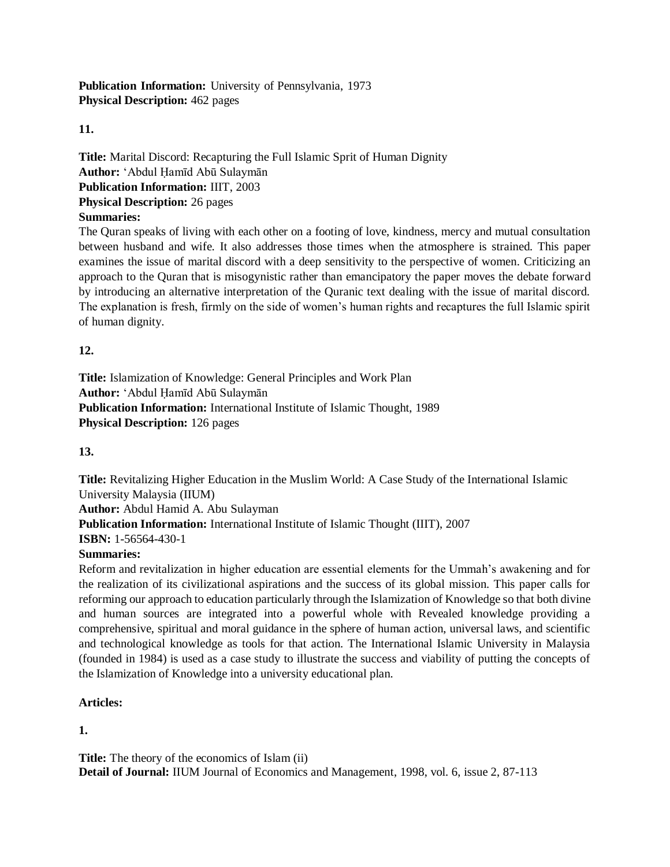**Publication Information:** University of Pennsylvania, 1973 **Physical Description:** 462 pages

**11.**

**Title:** Marital Discord: Recapturing the Full Islamic Sprit of Human Dignity **Author:** ʻAbdul [Ḥamīd Abū Sulaymān](https://www.google.com.my/search?tbo=p&tbm=bks&q=inauthor:%22%CA%BBAbdul%E1%B8%A4am%C4%ABd+Ab%C5%AB+Sulaym%C4%81n%22) **Publication Information:** IIIT, 2003 **Physical Description:** 26 pages **[Summaries:](https://books.google.com.my/books?id=C8CFRx9FjowC&dq=Abdul+Hamid+Ahmad+Abu+Sulayman&lr=&sitesec=reviews)**

The Quran speaks of living with each other on a footing of love, kindness, mercy and mutual consultation between husband and wife. It also addresses those times when the atmosphere is strained. This paper examines the issue of marital discord with a deep sensitivity to the perspective of women. Criticizing an approach to the Quran that is misogynistic rather than emancipatory the paper moves the debate forward by introducing an alternative interpretation of the Quranic text dealing with the issue of marital discord. The explanation is fresh, firmly on the side of women's human rights and recaptures the full Islamic spirit of human dignity.

**12.** 

**Title:** Islamization of Knowledge: General Principles and Work Plan **Author:** ʻAbdul Ḥamīd Abū Sulaymān **Publication Information:** International Institute of Islamic Thought, 1989 **Physical Description:** 126 pages

# **13.**

**Title:** Revitalizing Higher Education in the Muslim World: A Case Study of the International Islamic University Malaysia (IIUM) **Author:** Abdul Hamid A. Abu Sulayman **Publication Information:** International Institute of Islamic Thought (IIIT), 2007 **ISBN:** 1-56564-430-1

# **Summaries:**

Reform and revitalization in higher education are essential elements for the Ummah's awakening and for the realization of its civilizational aspirations and the success of its global mission. This paper calls for reforming our approach to education particularly through the Islamization of Knowledge so that both divine and human sources are integrated into a powerful whole with Revealed knowledge providing a comprehensive, spiritual and moral guidance in the sphere of human action, universal laws, and scientific and technological knowledge as tools for that action. The International Islamic University in Malaysia (founded in 1984) is used as a case study to illustrate the success and viability of putting the concepts of the Islamization of Knowledge into a university educational plan.

## **Articles:**

**1.**

**Title:** The theory of the economics of Islam (ii) **Detail of Journal:** [IIUM Journal of Economics and Management,](https://econpapers.repec.org/article/ijejournl/) 1998, vol. 6, issue 2, 87-113